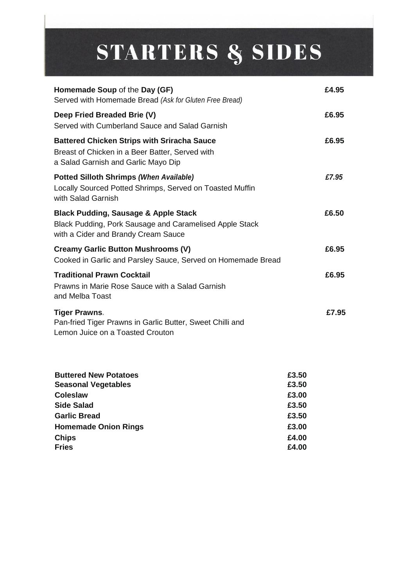# STARTERS & SIDES

| Homemade Soup of the Day (GF)<br>Served with Homemade Bread (Ask for Gluten Free Bread)                                                                  |                                                    | £4.95 |
|----------------------------------------------------------------------------------------------------------------------------------------------------------|----------------------------------------------------|-------|
| Deep Fried Breaded Brie (V)<br>Served with Cumberland Sauce and Salad Garnish                                                                            |                                                    | £6.95 |
| <b>Battered Chicken Strips with Sriracha Sauce</b><br>Breast of Chicken in a Beer Batter, Served with<br>a Salad Garnish and Garlic Mayo Dip             |                                                    | £6.95 |
| <b>Potted Silloth Shrimps (When Available)</b><br>Locally Sourced Potted Shrimps, Served on Toasted Muffin<br>with Salad Garnish                         |                                                    | £7.95 |
| <b>Black Pudding, Sausage &amp; Apple Stack</b><br>Black Pudding, Pork Sausage and Caramelised Apple Stack<br>with a Cider and Brandy Cream Sauce        |                                                    | £6.50 |
| <b>Creamy Garlic Button Mushrooms (V)</b><br>Cooked in Garlic and Parsley Sauce, Served on Homemade Bread                                                |                                                    | £6.95 |
| <b>Traditional Prawn Cocktail</b><br>Prawns in Marie Rose Sauce with a Salad Garnish<br>and Melba Toast                                                  |                                                    | £6.95 |
| <b>Tiger Prawns.</b><br>Pan-fried Tiger Prawns in Garlic Butter, Sweet Chilli and<br>Lemon Juice on a Toasted Crouton                                    |                                                    | £7.95 |
| <b>Buttered New Potatoes</b><br><b>Seasonal Vegetables</b><br><b>Coleslaw</b><br><b>Side Salad</b><br><b>Garlic Bread</b><br><b>Homemade Onion Rings</b> | £3.50<br>£3.50<br>£3.00<br>£3.50<br>£3.50<br>£3.00 |       |
| <b>Chips</b>                                                                                                                                             | £4.00                                              |       |

£4.00

**Fries**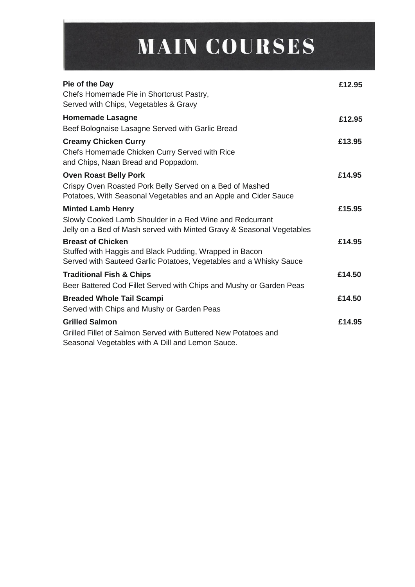# **MAIN COURSES**

| Pie of the Day<br>Chefs Homemade Pie in Shortcrust Pastry,<br>Served with Chips, Vegetables & Gravy                                                           | £12.95 |
|---------------------------------------------------------------------------------------------------------------------------------------------------------------|--------|
| <b>Homemade Lasagne</b><br>Beef Bolognaise Lasagne Served with Garlic Bread                                                                                   | £12.95 |
| <b>Creamy Chicken Curry</b><br>Chefs Homemade Chicken Curry Served with Rice<br>and Chips, Naan Bread and Poppadom.                                           | £13.95 |
| <b>Oven Roast Belly Pork</b><br>Crispy Oven Roasted Pork Belly Served on a Bed of Mashed<br>Potatoes, With Seasonal Vegetables and an Apple and Cider Sauce   | £14.95 |
| <b>Minted Lamb Henry</b><br>Slowly Cooked Lamb Shoulder in a Red Wine and Redcurrant<br>Jelly on a Bed of Mash served with Minted Gravy & Seasonal Vegetables | £15.95 |
| <b>Breast of Chicken</b><br>Stuffed with Haggis and Black Pudding, Wrapped in Bacon<br>Served with Sauteed Garlic Potatoes, Vegetables and a Whisky Sauce     | £14.95 |
| <b>Traditional Fish &amp; Chips</b><br>Beer Battered Cod Fillet Served with Chips and Mushy or Garden Peas                                                    | £14.50 |
| <b>Breaded Whole Tail Scampi</b><br>Served with Chips and Mushy or Garden Peas                                                                                | £14.50 |
| <b>Grilled Salmon</b><br>Grilled Fillet of Salmon Served with Buttered New Potatoes and<br>Seasonal Vegetables with A Dill and Lemon Sauce.                   | £14.95 |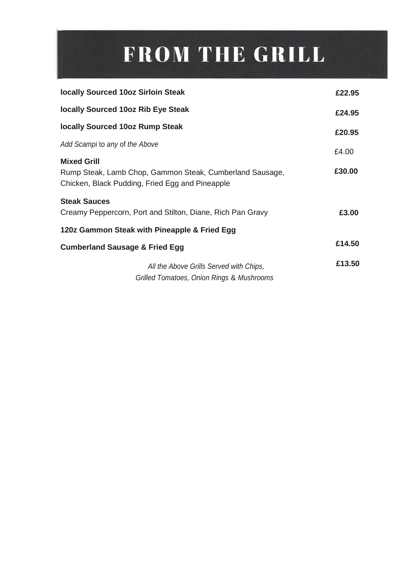## FROM THE GRILL

| <b>locally Sourced 10oz Sirloin Steak</b>                                                                                         | £22.95 |
|-----------------------------------------------------------------------------------------------------------------------------------|--------|
| locally Sourced 10oz Rib Eye Steak                                                                                                | £24.95 |
| <b>locally Sourced 10oz Rump Steak</b>                                                                                            | £20.95 |
| Add Scampi to any of the Above                                                                                                    | £4.00  |
| <b>Mixed Grill</b><br>Rump Steak, Lamb Chop, Gammon Steak, Cumberland Sausage,<br>Chicken, Black Pudding, Fried Egg and Pineapple | £30.00 |
| <b>Steak Sauces</b><br>Creamy Peppercorn, Port and Stilton, Diane, Rich Pan Gravy                                                 | £3.00  |
| 120z Gammon Steak with Pineapple & Fried Egg                                                                                      |        |
| <b>Cumberland Sausage &amp; Fried Egg</b>                                                                                         | £14.50 |
| All the Above Grills Served with Chips,<br>Grilled Tomatoes, Onion Rings & Mushrooms                                              | £13.50 |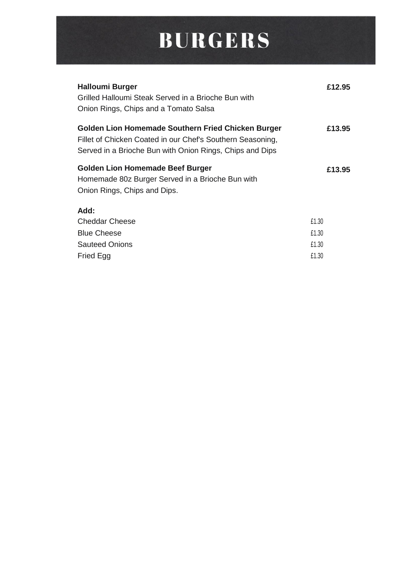#### **BURGERS**

| <b>Halloumi Burger</b><br>Grilled Halloumi Steak Served in a Brioche Bun with<br>Onion Rings, Chips and a Tomato Salsa                                                       | £12.95         |
|------------------------------------------------------------------------------------------------------------------------------------------------------------------------------|----------------|
| Golden Lion Homemade Southern Fried Chicken Burger<br>Fillet of Chicken Coated in our Chef's Southern Seasoning,<br>Served in a Brioche Bun with Onion Rings, Chips and Dips | £13.95         |
| <b>Golden Lion Homemade Beef Burger</b><br>Homemade 80z Burger Served in a Brioche Bun with<br>Onion Rings, Chips and Dips.                                                  | £13.95         |
| Add:<br><b>Cheddar Cheese</b><br><b>Blue Cheese</b>                                                                                                                          | £1.30<br>£1.30 |
| <b>Sauteed Onions</b><br>Fried Egg                                                                                                                                           | £1.30<br>£1.30 |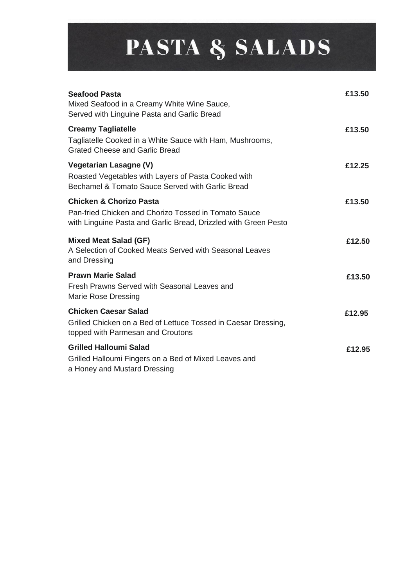## PASTA & SALADS

| <b>Seafood Pasta</b><br>Mixed Seafood in a Creamy White Wine Sauce,<br>Served with Linguine Pasta and Garlic Bread                                            | £13.50 |
|---------------------------------------------------------------------------------------------------------------------------------------------------------------|--------|
| <b>Creamy Tagliatelle</b><br>Tagliatelle Cooked in a White Sauce with Ham, Mushrooms,<br><b>Grated Cheese and Garlic Bread</b>                                | £13.50 |
| <b>Vegetarian Lasagne (V)</b><br>Roasted Vegetables with Layers of Pasta Cooked with<br>Bechamel & Tomato Sauce Served with Garlic Bread                      | £12.25 |
| <b>Chicken &amp; Chorizo Pasta</b><br>Pan-fried Chicken and Chorizo Tossed in Tomato Sauce<br>with Linguine Pasta and Garlic Bread, Drizzled with Green Pesto | £13.50 |
| <b>Mixed Meat Salad (GF)</b><br>A Selection of Cooked Meats Served with Seasonal Leaves<br>and Dressing                                                       | £12.50 |
| <b>Prawn Marie Salad</b><br>Fresh Prawns Served with Seasonal Leaves and<br><b>Marie Rose Dressing</b>                                                        | £13.50 |
| <b>Chicken Caesar Salad</b><br>Grilled Chicken on a Bed of Lettuce Tossed in Caesar Dressing,<br>topped with Parmesan and Croutons                            | £12.95 |
| <b>Grilled Halloumi Salad</b><br>Grilled Halloumi Fingers on a Bed of Mixed Leaves and<br>a Honey and Mustard Dressing                                        | £12.95 |
|                                                                                                                                                               |        |